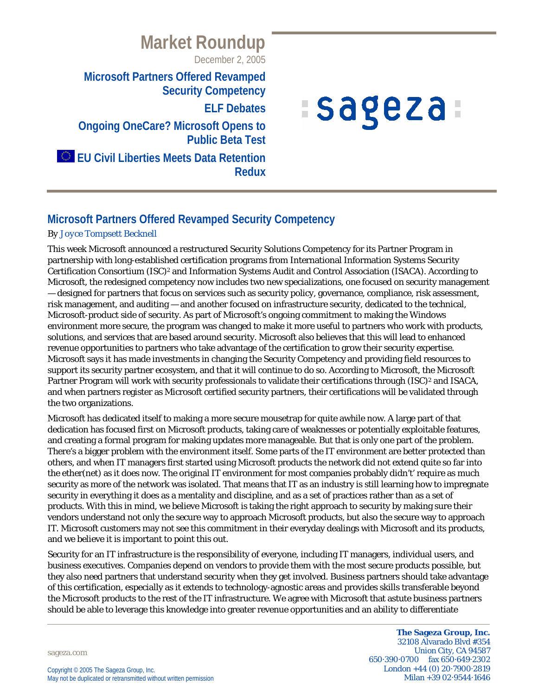## **Market Roundup** December 2, 2005 **Microsoft Partners Offered Revamped**

**Security Competency ELF Debates Ongoing OneCare? Microsoft Opens to Public Beta Test**

**EU Civil Liberties Meets Data Retention Redux**

# **Sageza**

## **Microsoft Partners Offered Revamped Security Competency**

#### *By Joyce Tompsett Becknell*

This week Microsoft announced a restructured Security Solutions Competency for its Partner Program in partnership with long-established certification programs from International Information Systems Security Certification Consortium (ISC)2 and Information Systems Audit and Control Association (ISACA). According to Microsoft, the redesigned competency now includes two new specializations, one focused on security management — designed for partners that focus on services such as security policy, governance, compliance, risk assessment, risk management, and auditing — and another focused on infrastructure security, dedicated to the technical, Microsoft-product side of security. As part of Microsoft's ongoing commitment to making the Windows environment more secure, the program was changed to make it more useful to partners who work with products, solutions, and services that are based around security. Microsoft also believes that this will lead to enhanced revenue opportunities to partners who take advantage of the certification to grow their security expertise. Microsoft says it has made investments in changing the Security Competency and providing field resources to support its security partner ecosystem, and that it will continue to do so. According to Microsoft, the Microsoft Partner Program will work with security professionals to validate their certifications through (ISC)<sup>2</sup> and ISACA, and when partners register as Microsoft certified security partners, their certifications will be validated through the two organizations.

Microsoft has dedicated itself to making a more secure mousetrap for quite awhile now. A large part of that dedication has focused first on Microsoft products, taking care of weaknesses or potentially exploitable features, and creating a formal program for making updates more manageable. But that is only one part of the problem. There's a bigger problem with the environment itself. Some parts of the IT environment are better protected than others, and when IT managers first started using Microsoft products the network did not extend quite so far into the ether(net) as it does now. The original IT environment for most companies probably didn't' require as much security as more of the network was isolated. That means that IT as an industry is still learning how to impregnate security in everything it does as a mentality and discipline, and as a set of practices rather than as a set of products. With this in mind, we believe Microsoft is taking the right approach to security by making sure their vendors understand not only the secure way to approach Microsoft products, but also the secure way to approach IT. Microsoft customers may not see this commitment in their everyday dealings with Microsoft and its products, and we believe it is important to point this out.

Security for an IT infrastructure is the responsibility of everyone, including IT managers, individual users, and business executives. Companies depend on vendors to provide them with the most secure products possible, but they also need partners that understand security when they get involved. Business partners should take advantage of this certification, especially as it extends to technology-agnostic areas and provides skills transferable beyond the Microsoft products to the rest of the IT infrastructure. We agree with Microsoft that astute business partners should be able to leverage this knowledge into greater revenue opportunities and an ability to differentiate

sageza.com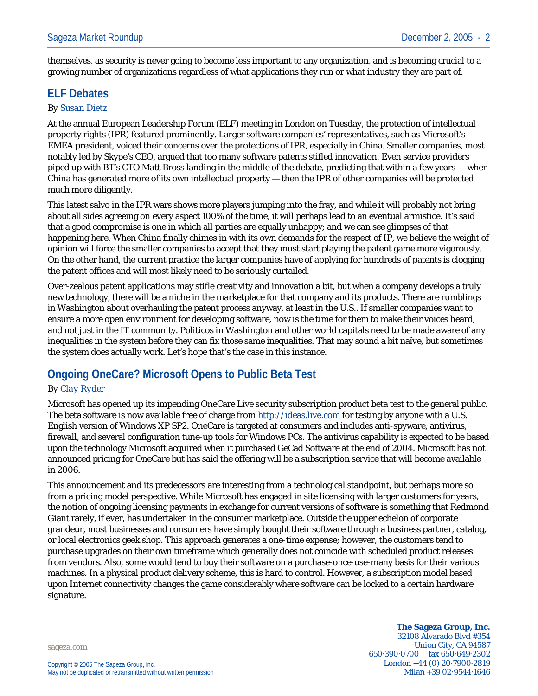themselves, as security is never going to become less important to any organization, and is becoming crucial to a growing number of organizations regardless of what applications they run or what industry they are part of.

## **ELF Debates**

#### *By Susan Dietz*

At the annual European Leadership Forum (ELF) meeting in London on Tuesday, the protection of intellectual property rights (IPR) featured prominently. Larger software companies' representatives, such as Microsoft's EMEA president, voiced their concerns over the protections of IPR, especially in China. Smaller companies, most notably led by Skype's CEO, argued that too many software patents stifled innovation. Even service providers piped up with BT's CTO Matt Bross landing in the middle of the debate, predicting that within a few years — when China has generated more of its own intellectual property — then the IPR of other companies will be protected much more diligently.

This latest salvo in the IPR wars shows more players jumping into the fray, and while it will probably not bring about all sides agreeing on every aspect 100% of the time, it will perhaps lead to an eventual armistice. It's said that a good compromise is one in which all parties are equally unhappy; and we can see glimpses of that happening here. When China finally chimes in with its own demands for the respect of IP, we believe the weight of opinion will force the smaller companies to accept that they must start playing the patent game more vigorously. On the other hand, the current practice the larger companies have of applying for hundreds of patents is clogging the patent offices and will most likely need to be seriously curtailed.

Over-zealous patent applications may stifle creativity and innovation a bit, but when a company develops a truly new technology, there will be a niche in the marketplace for that company and its products. There are rumblings in Washington about overhauling the patent process anyway, at least in the U.S.. If smaller companies want to ensure a more open environment for developing software, now is the time for them to make their voices heard, and not just in the IT community. Politicos in Washington and other world capitals need to be made aware of any inequalities in the system before they can fix those same inequalities. That may sound a bit naïve, but sometimes the system does actually work. Let's hope that's the case in this instance.

### **Ongoing OneCare? Microsoft Opens to Public Beta Test**

#### *By Clay Ryder*

Microsoft has opened up its impending OneCare Live security subscription product beta test to the general public. The beta software is now available free of charge from http://ideas.live.com for testing by anyone with a U.S. English version of Windows XP SP2. OneCare is targeted at consumers and includes anti-spyware, antivirus, firewall, and several configuration tune-up tools for Windows PCs. The antivirus capability is expected to be based upon the technology Microsoft acquired when it purchased GeCad Software at the end of 2004. Microsoft has not announced pricing for OneCare but has said the offering will be a subscription service that will become available in 2006.

This announcement and its predecessors are interesting from a technological standpoint, but perhaps more so from a pricing model perspective. While Microsoft has engaged in site licensing with larger customers for years, the notion of ongoing licensing payments in exchange for current versions of software is something that Redmond Giant rarely, if ever, has undertaken in the consumer marketplace. Outside the upper echelon of corporate grandeur, most businesses and consumers have simply bought their software through a business partner, catalog, or local electronics geek shop. This approach generates a one-time expense; however, the customers tend to purchase upgrades on their own timeframe which generally does not coincide with scheduled product releases from vendors. Also, some would tend to buy their software on a purchase-once-use-many basis for their various machines. In a physical product delivery scheme, this is hard to control. However, a subscription model based upon Internet connectivity changes the game considerably where software can be locked to a certain hardware signature.

sageza.com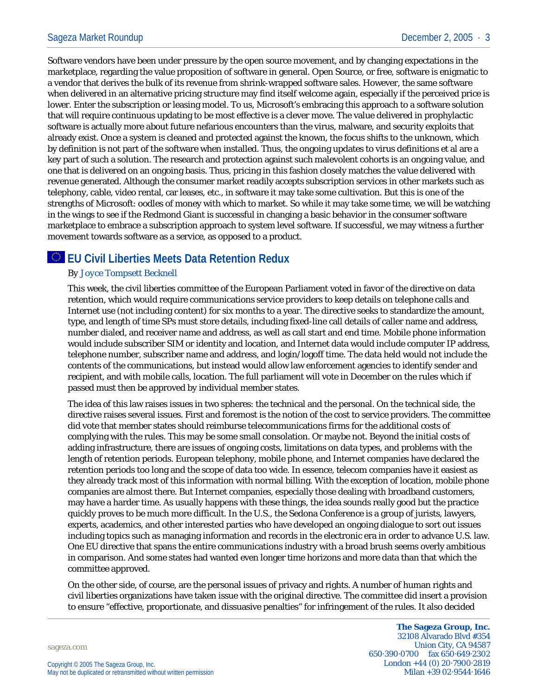Software vendors have been under pressure by the open source movement, and by changing expectations in the marketplace, regarding the value proposition of software in general. Open Source, or free, software is enigmatic to a vendor that derives the bulk of its revenue from shrink-wrapped software sales. However, the same software when delivered in an alternative pricing structure may find itself welcome again, especially if the perceived price is lower. Enter the subscription or leasing model. To us, Microsoft's embracing this approach to a software solution that will require continuous updating to be most effective is a clever move. The value delivered in prophylactic software is actually more about future nefarious encounters than the virus, malware, and security exploits that already exist. Once a system is cleaned and protected against the known, the focus shifts to the unknown, which by definition is not part of the software when installed. Thus, the ongoing updates to virus definitions et al are a key part of such a solution. The research and protection against such malevolent cohorts is an ongoing value, and one that is delivered on an ongoing basis. Thus, pricing in this fashion closely matches the value delivered with revenue generated. Although the consumer market readily accepts subscription services in other markets such as telephony, cable, video rental, car leases, etc., in software it may take some cultivation. But this is one of the strengths of Microsoft: oodles of money with which to market. So while it may take some time, we will be watching in the wings to see if the Redmond Giant is successful in changing a basic behavior in the consumer software marketplace to embrace a subscription approach to system level software. If successful, we may witness a further movement towards software as a service, as opposed to a product.

## **EU Civil Liberties Meets Data Retention Redux**

#### *By Joyce Tompsett Becknell*

This week, the civil liberties committee of the European Parliament voted in favor of the directive on data retention, which would require communications service providers to keep details on telephone calls and Internet use (not including content) for six months to a year. The directive seeks to standardize the amount, type, and length of time SPs must store details, including fixed-line call details of caller name and address, number dialed, and receiver name and address, as well as call start and end time. Mobile phone information would include subscriber SIM or identity and location, and Internet data would include computer IP address, telephone number, subscriber name and address, and login/logoff time. The data held would not include the contents of the communications, but instead would allow law enforcement agencies to identify sender and recipient, and with mobile calls, location. The full parliament will vote in December on the rules which if passed must then be approved by individual member states.

The idea of this law raises issues in two spheres: the technical and the personal. On the technical side, the directive raises several issues. First and foremost is the notion of the cost to service providers. The committee did vote that member states should reimburse telecommunications firms for the additional costs of complying with the rules. This may be some small consolation. Or maybe not. Beyond the initial costs of adding infrastructure, there are issues of ongoing costs, limitations on data types, and problems with the length of retention periods. European telephony, mobile phone, and Internet companies have declared the retention periods too long and the scope of data too wide. In essence, telecom companies have it easiest as they already track most of this information with normal billing. With the exception of location, mobile phone companies are almost there. But Internet companies, especially those dealing with broadband customers, may have a harder time. As usually happens with these things, the idea sounds really good but the practice quickly proves to be much more difficult. In the U.S., the Sedona Conference is a group of jurists, lawyers, experts, academics, and other interested parties who have developed an ongoing dialogue to sort out issues including topics such as managing information and records in the electronic era in order to advance U.S. law. One EU directive that spans the entire communications industry with a broad brush seems overly ambitious in comparison. And some states had wanted even longer time horizons and more data than that which the committee approved.

On the other side, of course, are the personal issues of privacy and rights. A number of human rights and civil liberties organizations have taken issue with the original directive. The committee did insert a provision to ensure "effective, proportionate, and dissuasive penalties" for infringement of the rules. It also decided

sageza.com